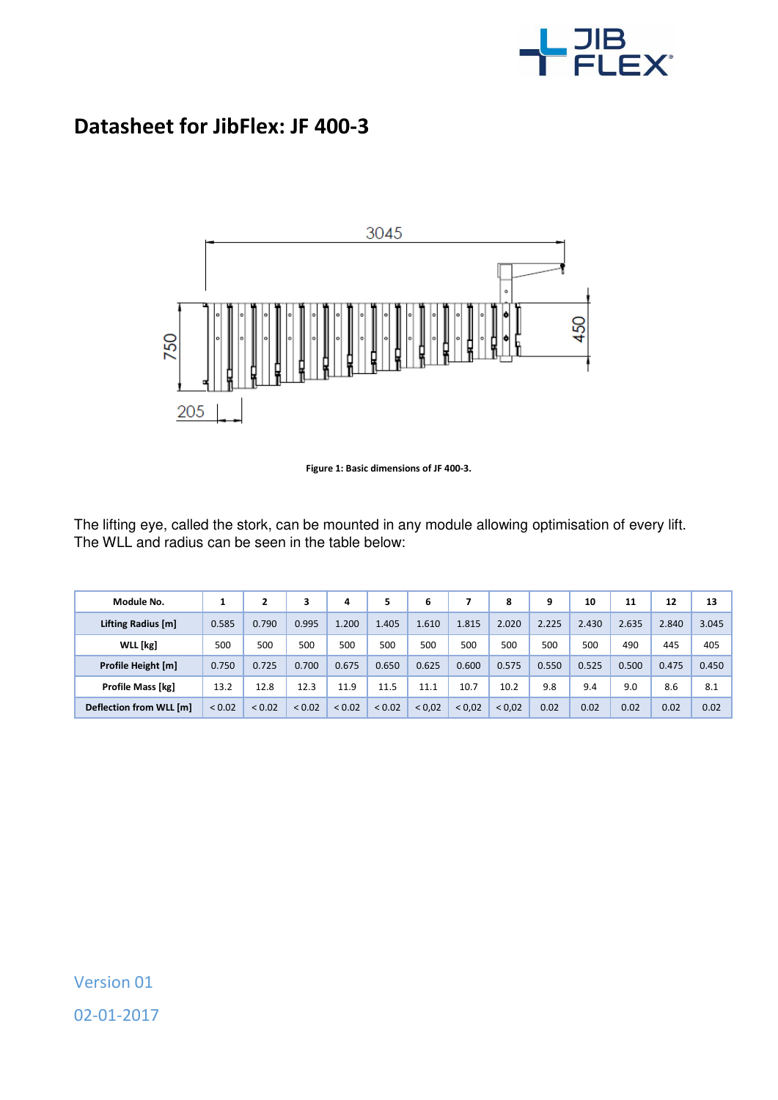

## **Datasheet for JibFlex: JF 400-3**



**Figure 1: Basic dimensions of JF 400-3.** 

The lifting eye, called the stork, can be mounted in any module allowing optimisation of every lift. The WLL and radius can be seen in the table below:

| Module No.                     |        |             | 3           | 4      |             | 6      |             | 8      | 9     | 10    | 11    | 12    | 13    |
|--------------------------------|--------|-------------|-------------|--------|-------------|--------|-------------|--------|-------|-------|-------|-------|-------|
| Lifting Radius [m]             | 0.585  | 0.790       | 0.995       | 1.200  | 1.405       | 1.610  | 1.815       | 2.020  | 2.225 | 2.430 | 2.635 | 2.840 | 3.045 |
| WLL [kg]                       | 500    | 500         | 500         | 500    | 500         | 500    | 500         | 500    | 500   | 500   | 490   | 445   | 405   |
| Profile Height [m]             | 0.750  | 0.725       | 0.700       | 0.675  | 0.650       | 0.625  | 0.600       | 0.575  | 0.550 | 0.525 | 0.500 | 0.475 | 0.450 |
| <b>Profile Mass [kg]</b>       | 13.2   | 12.8        | 12.3        | 11.9   | 11.5        | 11.1   | 10.7        | 10.2   | 9.8   | 9.4   | 9.0   | 8.6   | 8.1   |
| <b>Deflection from WLL [m]</b> | < 0.02 | ${}_{0.02}$ | ${}_{0.02}$ | < 0.02 | ${}_{0.02}$ | < 0.02 | ${}_{0.02}$ | < 0.02 | 0.02  | 0.02  | 0.02  | 0.02  | 0.02  |